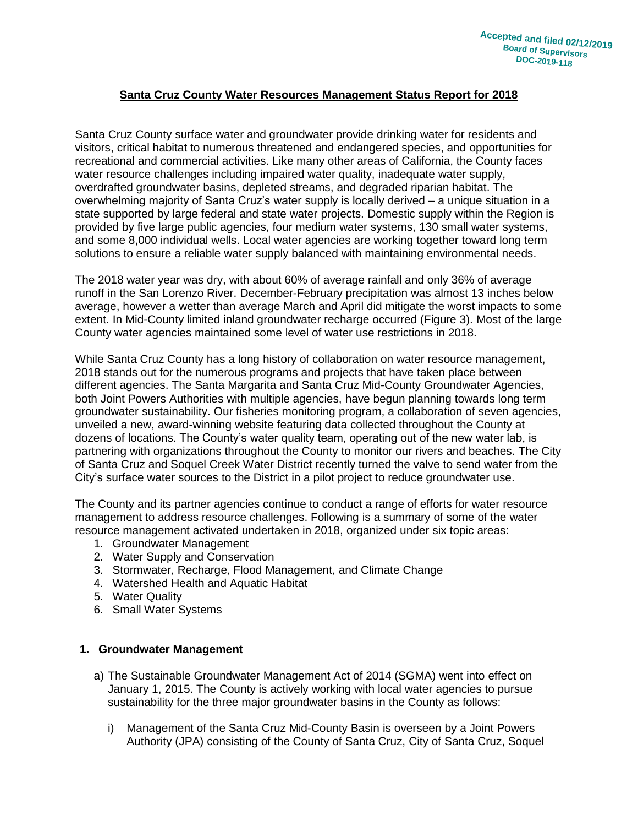# **Santa Cruz County Water Resources Management Status Report for 2018**

Santa Cruz County surface water and groundwater provide drinking water for residents and visitors, critical habitat to numerous threatened and endangered species, and opportunities for recreational and commercial activities. Like many other areas of California, the County faces water resource challenges including impaired water quality, inadequate water supply, overdrafted groundwater basins, depleted streams, and degraded riparian habitat. The overwhelming majority of Santa Cruz's water supply is locally derived – a unique situation in a state supported by large federal and state water projects. Domestic supply within the Region is provided by five large public agencies, four medium water systems, 130 small water systems, and some 8,000 individual wells. Local water agencies are working together toward long term solutions to ensure a reliable water supply balanced with maintaining environmental needs.

The 2018 water year was dry, with about 60% of average rainfall and only 36% of average runoff in the San Lorenzo River. December-February precipitation was almost 13 inches below average, however a wetter than average March and April did mitigate the worst impacts to some extent. In Mid-County limited inland groundwater recharge occurred (Figure 3). Most of the large County water agencies maintained some level of water use restrictions in 2018.

While Santa Cruz County has a long history of collaboration on water resource management, 2018 stands out for the numerous programs and projects that have taken place between different agencies. The Santa Margarita and Santa Cruz Mid-County Groundwater Agencies, both Joint Powers Authorities with multiple agencies, have begun planning towards long term groundwater sustainability. Our fisheries monitoring program, a collaboration of seven agencies, unveiled a new, award-winning website featuring data collected throughout the County at dozens of locations. The County's water quality team, operating out of the new water lab, is partnering with organizations throughout the County to monitor our rivers and beaches. The City of Santa Cruz and Soquel Creek Water District recently turned the valve to send water from the City's surface water sources to the District in a pilot project to reduce groundwater use.

The County and its partner agencies continue to conduct a range of efforts for water resource management to address resource challenges. Following is a summary of some of the water resource management activated undertaken in 2018, organized under six topic areas:

- 1. Groundwater Management
- 2. Water Supply and Conservation
- 3. Stormwater, Recharge, Flood Management, and Climate Change
- 4. Watershed Health and Aquatic Habitat
- 5. Water Quality
- 6. Small Water Systems

#### **1. Groundwater Management**

- a) The Sustainable Groundwater Management Act of 2014 (SGMA) went into effect on January 1, 2015. The County is actively working with local water agencies to pursue sustainability for the three major groundwater basins in the County as follows:
	- i) Management of the Santa Cruz Mid-County Basin is overseen by a Joint Powers Authority (JPA) consisting of the County of Santa Cruz, City of Santa Cruz, Soquel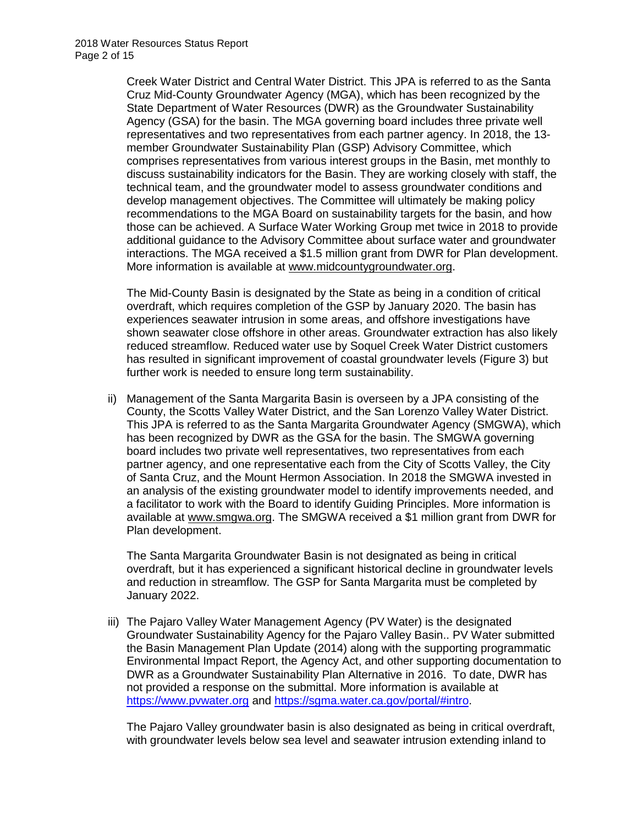Creek Water District and Central Water District. This JPA is referred to as the Santa Cruz Mid-County Groundwater Agency (MGA), which has been recognized by the State Department of Water Resources (DWR) as the Groundwater Sustainability Agency (GSA) for the basin. The MGA governing board includes three private well representatives and two representatives from each partner agency. In 2018, the 13 member Groundwater Sustainability Plan (GSP) Advisory Committee, which comprises representatives from various interest groups in the Basin, met monthly to discuss sustainability indicators for the Basin. They are working closely with staff, the technical team, and the groundwater model to assess groundwater conditions and develop management objectives. The Committee will ultimately be making policy recommendations to the MGA Board on sustainability targets for the basin, and how those can be achieved. A Surface Water Working Group met twice in 2018 to provide additional guidance to the Advisory Committee about surface water and groundwater interactions. The MGA received a \$1.5 million grant from DWR for Plan development. More information is available at [www.midcountygroundwater.org.](http://www.midcountygroundwater.org/)

The Mid-County Basin is designated by the State as being in a condition of critical overdraft, which requires completion of the GSP by January 2020. The basin has experiences seawater intrusion in some areas, and offshore investigations have shown seawater close offshore in other areas. Groundwater extraction has also likely reduced streamflow. Reduced water use by Soquel Creek Water District customers has resulted in significant improvement of coastal groundwater levels (Figure 3) but further work is needed to ensure long term sustainability.

ii) Management of the Santa Margarita Basin is overseen by a JPA consisting of the County, the Scotts Valley Water District, and the San Lorenzo Valley Water District. This JPA is referred to as the Santa Margarita Groundwater Agency (SMGWA), which has been recognized by DWR as the GSA for the basin. The SMGWA governing board includes two private well representatives, two representatives from each partner agency, and one representative each from the City of Scotts Valley, the City of Santa Cruz, and the Mount Hermon Association. In 2018 the SMGWA invested in an analysis of the existing groundwater model to identify improvements needed, and a facilitator to work with the Board to identify Guiding Principles. More information is available at [www.smgwa.org.](http://www.smgwa.org/) The SMGWA received a \$1 million grant from DWR for Plan development.

The Santa Margarita Groundwater Basin is not designated as being in critical overdraft, but it has experienced a significant historical decline in groundwater levels and reduction in streamflow. The GSP for Santa Margarita must be completed by January 2022.

iii) The Pajaro Valley Water Management Agency (PV Water) is the designated Groundwater Sustainability Agency for the Pajaro Valley Basin.. PV Water submitted the Basin Management Plan Update (2014) along with the supporting programmatic Environmental Impact Report, the Agency Act, and other supporting documentation to DWR as a Groundwater Sustainability Plan Alternative in 2016. To date, DWR has not provided a response on the submittal. More information is available at [https://www.pvwater.org](https://www.pvwater.org/) and [https://sgma.water.ca.gov/portal/#intro.](https://sgma.water.ca.gov/portal/#intro)

The Pajaro Valley groundwater basin is also designated as being in critical overdraft, with groundwater levels below sea level and seawater intrusion extending inland to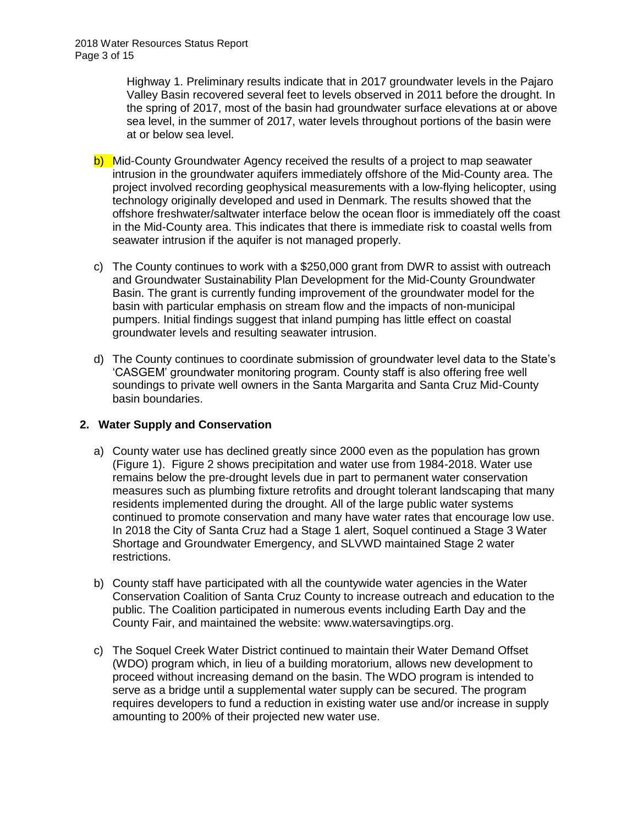Highway 1. Preliminary results indicate that in 2017 groundwater levels in the Pajaro Valley Basin recovered several feet to levels observed in 2011 before the drought. In the spring of 2017, most of the basin had groundwater surface elevations at or above sea level, in the summer of 2017, water levels throughout portions of the basin were at or below sea level.

- b) Mid-County Groundwater Agency received the results of a project to map seawater intrusion in the groundwater aquifers immediately offshore of the Mid-County area. The project involved recording geophysical measurements with a low-flying helicopter, using technology originally developed and used in Denmark. The results showed that the offshore freshwater/saltwater interface below the ocean floor is immediately off the coast in the Mid-County area. This indicates that there is immediate risk to coastal wells from seawater intrusion if the aquifer is not managed properly.
- c) The County continues to work with a \$250,000 grant from DWR to assist with outreach and Groundwater Sustainability Plan Development for the Mid-County Groundwater Basin. The grant is currently funding improvement of the groundwater model for the basin with particular emphasis on stream flow and the impacts of non-municipal pumpers. Initial findings suggest that inland pumping has little effect on coastal groundwater levels and resulting seawater intrusion.
- d) The County continues to coordinate submission of groundwater level data to the State's 'CASGEM' groundwater monitoring program. County staff is also offering free well soundings to private well owners in the Santa Margarita and Santa Cruz Mid-County basin boundaries.

## **2. Water Supply and Conservation**

- a) County water use has declined greatly since 2000 even as the population has grown (Figure 1). Figure 2 shows precipitation and water use from 1984-2018. Water use remains below the pre-drought levels due in part to permanent water conservation measures such as plumbing fixture retrofits and drought tolerant landscaping that many residents implemented during the drought. All of the large public water systems continued to promote conservation and many have water rates that encourage low use. In 2018 the City of Santa Cruz had a Stage 1 alert, Soquel continued a Stage 3 Water Shortage and Groundwater Emergency, and SLVWD maintained Stage 2 water restrictions.
- b) County staff have participated with all the countywide water agencies in the Water Conservation Coalition of Santa Cruz County to increase outreach and education to the public. The Coalition participated in numerous events including Earth Day and the County Fair, and maintained the website: www.watersavingtips.org.
- c) The Soquel Creek Water District continued to maintain their Water Demand Offset (WDO) program which, in lieu of a building moratorium, allows new development to proceed without increasing demand on the basin. The WDO program is intended to serve as a bridge until a supplemental water supply can be secured. The program requires developers to fund a reduction in existing water use and/or increase in supply amounting to 200% of their projected new water use.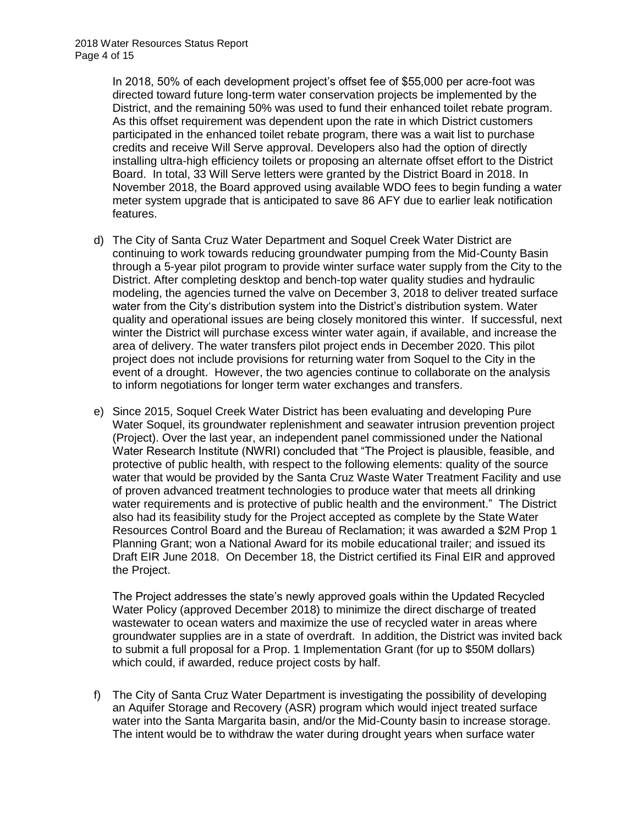In 2018, 50% of each development project's offset fee of \$55,000 per acre-foot was directed toward future long-term water conservation projects be implemented by the District, and the remaining 50% was used to fund their enhanced toilet rebate program. As this offset requirement was dependent upon the rate in which District customers participated in the enhanced toilet rebate program, there was a wait list to purchase credits and receive Will Serve approval. Developers also had the option of directly installing ultra-high efficiency toilets or proposing an alternate offset effort to the District Board. In total, 33 Will Serve letters were granted by the District Board in 2018. In November 2018, the Board approved using available WDO fees to begin funding a water meter system upgrade that is anticipated to save 86 AFY due to earlier leak notification features.

- d) The City of Santa Cruz Water Department and Soquel Creek Water District are continuing to work towards reducing groundwater pumping from the Mid-County Basin through a 5-year pilot program to provide winter surface water supply from the City to the District. After completing desktop and bench-top water quality studies and hydraulic modeling, the agencies turned the valve on December 3, 2018 to deliver treated surface water from the City's distribution system into the District's distribution system. Water quality and operational issues are being closely monitored this winter. If successful, next winter the District will purchase excess winter water again, if available, and increase the area of delivery. The water transfers pilot project ends in December 2020. This pilot project does not include provisions for returning water from Soquel to the City in the event of a drought. However, the two agencies continue to collaborate on the analysis to inform negotiations for longer term water exchanges and transfers.
- e) Since 2015, Soquel Creek Water District has been evaluating and developing Pure Water Soquel, its groundwater replenishment and seawater intrusion prevention project (Project). Over the last year, an independent panel commissioned under the National Water Research Institute (NWRI) concluded that "The Project is plausible, feasible, and protective of public health, with respect to the following elements: quality of the source water that would be provided by the Santa Cruz Waste Water Treatment Facility and use of proven advanced treatment technologies to produce water that meets all drinking water requirements and is protective of public health and the environment." The District also had its feasibility study for the Project accepted as complete by the State Water Resources Control Board and the Bureau of Reclamation; it was awarded a \$2M Prop 1 Planning Grant; won a National Award for its mobile educational trailer; and issued its Draft EIR June 2018. On December 18, the District certified its Final EIR and approved the Project.

The Project addresses the state's newly approved goals within the Updated Recycled Water Policy (approved December 2018) to minimize the direct discharge of treated wastewater to ocean waters and maximize the use of recycled water in areas where groundwater supplies are in a state of overdraft. In addition, the District was invited back to submit a full proposal for a Prop. 1 Implementation Grant (for up to \$50M dollars) which could, if awarded, reduce project costs by half.

f) The City of Santa Cruz Water Department is investigating the possibility of developing an Aquifer Storage and Recovery (ASR) program which would inject treated surface water into the Santa Margarita basin, and/or the Mid-County basin to increase storage. The intent would be to withdraw the water during drought years when surface water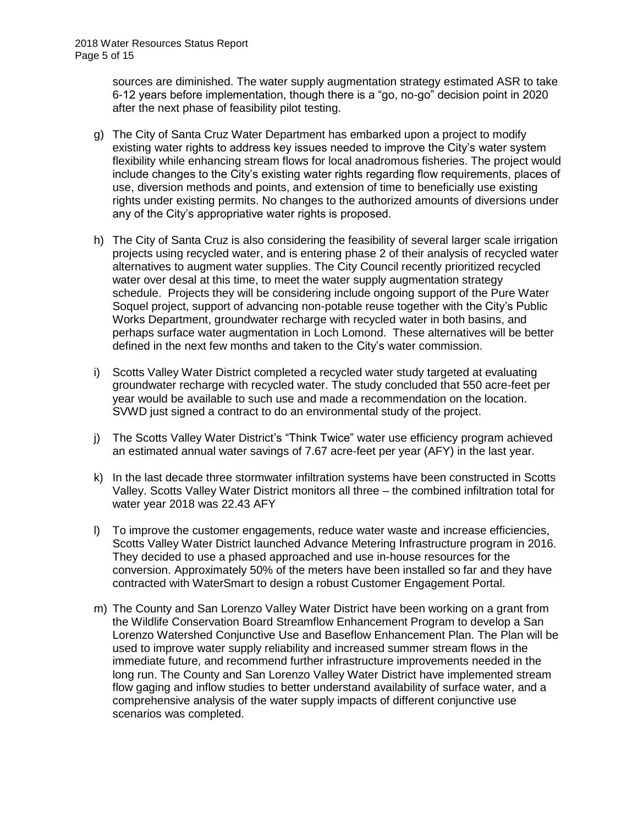sources are diminished. The water supply augmentation strategy estimated ASR to take 6-12 years before implementation, though there is a "go, no-go" decision point in 2020 after the next phase of feasibility pilot testing.

- g) The City of Santa Cruz Water Department has embarked upon a project to modify existing water rights to address key issues needed to improve the City's water system flexibility while enhancing stream flows for local anadromous fisheries. The project would include changes to the City's existing water rights regarding flow requirements, places of use, diversion methods and points, and extension of time to beneficially use existing rights under existing permits. No changes to the authorized amounts of diversions under any of the City's appropriative water rights is proposed.
- h) The City of Santa Cruz is also considering the feasibility of several larger scale irrigation projects using recycled water, and is entering phase 2 of their analysis of recycled water alternatives to augment water supplies. The City Council recently prioritized recycled water over desal at this time, to meet the water supply augmentation strategy schedule. Projects they will be considering include ongoing support of the Pure Water Soquel project, support of advancing non-potable reuse together with the City's Public Works Department, groundwater recharge with recycled water in both basins, and perhaps surface water augmentation in Loch Lomond. These alternatives will be better defined in the next few months and taken to the City's water commission.
- i) Scotts Valley Water District completed a recycled water study targeted at evaluating groundwater recharge with recycled water. The study concluded that 550 acre-feet per year would be available to such use and made a recommendation on the location. SVWD just signed a contract to do an environmental study of the project.
- j) The Scotts Valley Water District's "Think Twice" water use efficiency program achieved an estimated annual water savings of 7.67 acre-feet per year (AFY) in the last year.
- k) In the last decade three stormwater infiltration systems have been constructed in Scotts Valley. Scotts Valley Water District monitors all three – the combined infiltration total for water year 2018 was 22.43 AFY
- l) To improve the customer engagements, reduce water waste and increase efficiencies, Scotts Valley Water District launched Advance Metering Infrastructure program in 2016. They decided to use a phased approached and use in-house resources for the conversion. Approximately 50% of the meters have been installed so far and they have contracted with WaterSmart to design a robust Customer Engagement Portal.
- m) The County and San Lorenzo Valley Water District have been working on a grant from the Wildlife Conservation Board Streamflow Enhancement Program to develop a San Lorenzo Watershed Conjunctive Use and Baseflow Enhancement Plan. The Plan will be used to improve water supply reliability and increased summer stream flows in the immediate future, and recommend further infrastructure improvements needed in the long run. The County and San Lorenzo Valley Water District have implemented stream flow gaging and inflow studies to better understand availability of surface water, and a comprehensive analysis of the water supply impacts of different conjunctive use scenarios was completed.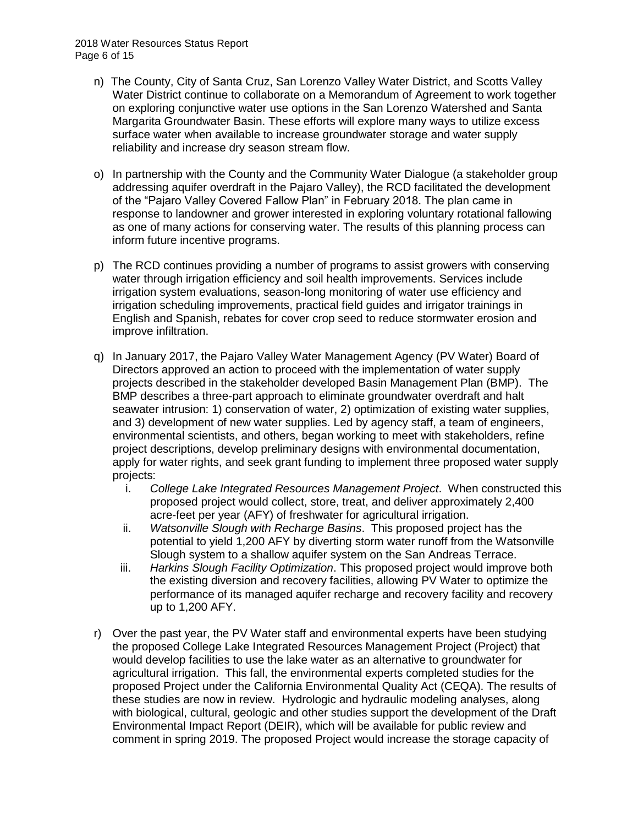- n) The County, City of Santa Cruz, San Lorenzo Valley Water District, and Scotts Valley Water District continue to collaborate on a Memorandum of Agreement to work together on exploring conjunctive water use options in the San Lorenzo Watershed and Santa Margarita Groundwater Basin. These efforts will explore many ways to utilize excess surface water when available to increase groundwater storage and water supply reliability and increase dry season stream flow.
- o) In partnership with the County and the Community Water Dialogue (a stakeholder group addressing aquifer overdraft in the Pajaro Valley), the RCD facilitated the development of the "Pajaro Valley Covered Fallow Plan" in February 2018. The plan came in response to landowner and grower interested in exploring voluntary rotational fallowing as one of many actions for conserving water. The results of this planning process can inform future incentive programs.
- p) The RCD continues providing a number of programs to assist growers with conserving water through irrigation efficiency and soil health improvements. Services include irrigation system evaluations, season-long monitoring of water use efficiency and irrigation scheduling improvements, practical field guides and irrigator trainings in English and Spanish, rebates for cover crop seed to reduce stormwater erosion and improve infiltration.
- q) In January 2017, the Pajaro Valley Water Management Agency (PV Water) Board of Directors approved an action to proceed with the implementation of water supply projects described in the stakeholder developed Basin Management Plan (BMP). The BMP describes a three-part approach to eliminate groundwater overdraft and halt seawater intrusion: 1) conservation of water, 2) optimization of existing water supplies, and 3) development of new water supplies. Led by agency staff, a team of engineers, environmental scientists, and others, began working to meet with stakeholders, refine project descriptions, develop preliminary designs with environmental documentation, apply for water rights, and seek grant funding to implement three proposed water supply projects:
	- i. *College Lake Integrated Resources Management Project*. When constructed this proposed project would collect, store, treat, and deliver approximately 2,400 acre-feet per year (AFY) of freshwater for agricultural irrigation.
	- ii. *Watsonville Slough with Recharge Basins*. This proposed project has the potential to yield 1,200 AFY by diverting storm water runoff from the Watsonville Slough system to a shallow aquifer system on the San Andreas Terrace.
	- iii. *Harkins Slough Facility Optimization*. This proposed project would improve both the existing diversion and recovery facilities, allowing PV Water to optimize the performance of its managed aquifer recharge and recovery facility and recovery up to 1,200 AFY.
- r) Over the past year, the PV Water staff and environmental experts have been studying the proposed College Lake Integrated Resources Management Project (Project) that would develop facilities to use the lake water as an alternative to groundwater for agricultural irrigation. This fall, the environmental experts completed studies for the proposed Project under the California Environmental Quality Act (CEQA). The results of these studies are now in review. Hydrologic and hydraulic modeling analyses, along with biological, cultural, geologic and other studies support the development of the Draft Environmental Impact Report (DEIR), which will be available for public review and comment in spring 2019. The proposed Project would increase the storage capacity of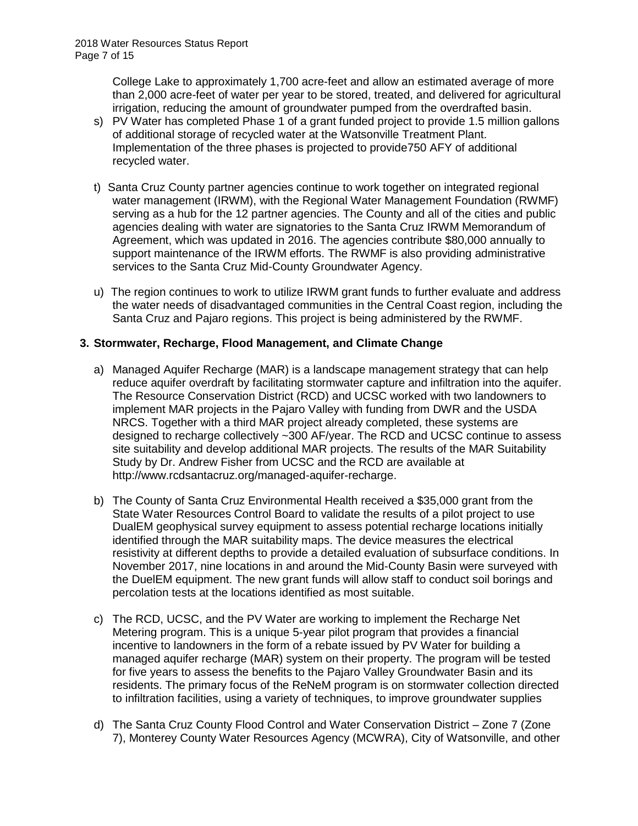College Lake to approximately 1,700 acre-feet and allow an estimated average of more than 2,000 acre-feet of water per year to be stored, treated, and delivered for agricultural irrigation, reducing the amount of groundwater pumped from the overdrafted basin.

- s) PV Water has completed Phase 1 of a grant funded project to provide 1.5 million gallons of additional storage of recycled water at the Watsonville Treatment Plant. Implementation of the three phases is projected to provide750 AFY of additional recycled water.
- t) Santa Cruz County partner agencies continue to work together on integrated regional water management (IRWM), with the Regional Water Management Foundation (RWMF) serving as a hub for the 12 partner agencies. The County and all of the cities and public agencies dealing with water are signatories to the Santa Cruz IRWM Memorandum of Agreement, which was updated in 2016. The agencies contribute \$80,000 annually to support maintenance of the IRWM efforts. The RWMF is also providing administrative services to the Santa Cruz Mid-County Groundwater Agency.
- u) The region continues to work to utilize IRWM grant funds to further evaluate and address the water needs of disadvantaged communities in the Central Coast region, including the Santa Cruz and Pajaro regions. This project is being administered by the RWMF.

# **3. Stormwater, Recharge, Flood Management, and Climate Change**

- a) Managed Aquifer Recharge (MAR) is a landscape management strategy that can help reduce aquifer overdraft by facilitating stormwater capture and infiltration into the aquifer. The Resource Conservation District (RCD) and UCSC worked with two landowners to implement MAR projects in the Pajaro Valley with funding from DWR and the USDA NRCS. Together with a third MAR project already completed, these systems are designed to recharge collectively ~300 AF/year. The RCD and UCSC continue to assess site suitability and develop additional MAR projects. The results of the MAR Suitability Study by Dr. Andrew Fisher from UCSC and the RCD are available at http://www.rcdsantacruz.org/managed-aquifer-recharge.
- b) The County of Santa Cruz Environmental Health received a \$35,000 grant from the State Water Resources Control Board to validate the results of a pilot project to use DualEM geophysical survey equipment to assess potential recharge locations initially identified through the MAR suitability maps. The device measures the electrical resistivity at different depths to provide a detailed evaluation of subsurface conditions. In November 2017, nine locations in and around the Mid-County Basin were surveyed with the DuelEM equipment. The new grant funds will allow staff to conduct soil borings and percolation tests at the locations identified as most suitable.
- c) The RCD, UCSC, and the PV Water are working to implement the Recharge Net Metering program. This is a unique 5-year pilot program that provides a financial incentive to landowners in the form of a rebate issued by PV Water for building a managed aquifer recharge (MAR) system on their property. The program will be tested for five years to assess the benefits to the Pajaro Valley Groundwater Basin and its residents. The primary focus of the ReNeM program is on stormwater collection directed to infiltration facilities, using a variety of techniques, to improve groundwater supplies
- d) The Santa Cruz County Flood Control and Water Conservation District Zone 7 (Zone 7), Monterey County Water Resources Agency (MCWRA), City of Watsonville, and other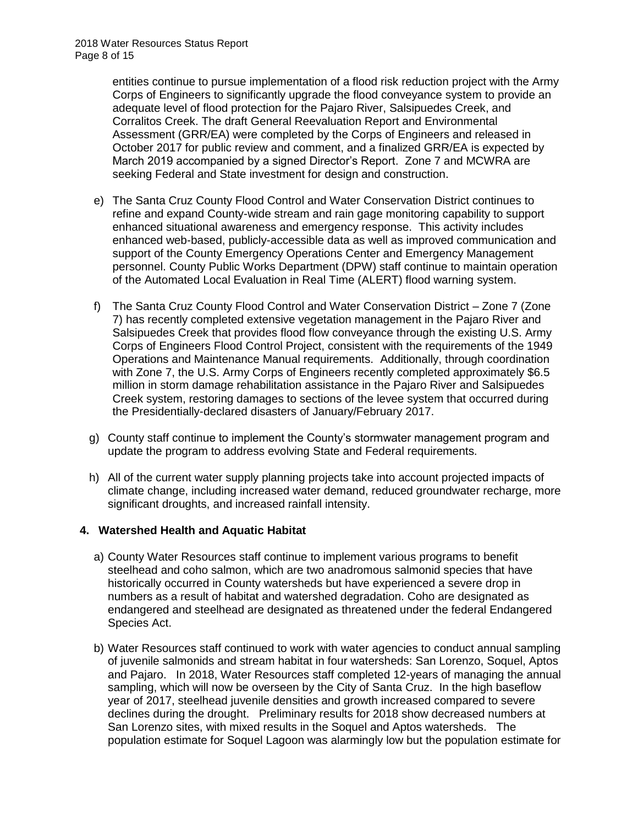entities continue to pursue implementation of a flood risk reduction project with the Army Corps of Engineers to significantly upgrade the flood conveyance system to provide an adequate level of flood protection for the Pajaro River, Salsipuedes Creek, and Corralitos Creek. The draft General Reevaluation Report and Environmental Assessment (GRR/EA) were completed by the Corps of Engineers and released in October 2017 for public review and comment, and a finalized GRR/EA is expected by March 2019 accompanied by a signed Director's Report. Zone 7 and MCWRA are seeking Federal and State investment for design and construction.

- e) The Santa Cruz County Flood Control and Water Conservation District continues to refine and expand County-wide stream and rain gage monitoring capability to support enhanced situational awareness and emergency response. This activity includes enhanced web-based, publicly-accessible data as well as improved communication and support of the County Emergency Operations Center and Emergency Management personnel. County Public Works Department (DPW) staff continue to maintain operation of the Automated Local Evaluation in Real Time (ALERT) flood warning system.
- f) The Santa Cruz County Flood Control and Water Conservation District Zone 7 (Zone 7) has recently completed extensive vegetation management in the Pajaro River and Salsipuedes Creek that provides flood flow conveyance through the existing U.S. Army Corps of Engineers Flood Control Project, consistent with the requirements of the 1949 Operations and Maintenance Manual requirements. Additionally, through coordination with Zone 7, the U.S. Army Corps of Engineers recently completed approximately \$6.5 million in storm damage rehabilitation assistance in the Pajaro River and Salsipuedes Creek system, restoring damages to sections of the levee system that occurred during the Presidentially-declared disasters of January/February 2017.
- g) County staff continue to implement the County's stormwater management program and update the program to address evolving State and Federal requirements.
- h) All of the current water supply planning projects take into account projected impacts of climate change, including increased water demand, reduced groundwater recharge, more significant droughts, and increased rainfall intensity.

## **4. Watershed Health and Aquatic Habitat**

- a) County Water Resources staff continue to implement various programs to benefit steelhead and coho salmon, which are two anadromous salmonid species that have historically occurred in County watersheds but have experienced a severe drop in numbers as a result of habitat and watershed degradation. Coho are designated as endangered and steelhead are designated as threatened under the federal Endangered Species Act.
- b) Water Resources staff continued to work with water agencies to conduct annual sampling of juvenile salmonids and stream habitat in four watersheds: San Lorenzo, Soquel, Aptos and Pajaro. In 2018, Water Resources staff completed 12-years of managing the annual sampling, which will now be overseen by the City of Santa Cruz. In the high baseflow year of 2017, steelhead juvenile densities and growth increased compared to severe declines during the drought. Preliminary results for 2018 show decreased numbers at San Lorenzo sites, with mixed results in the Soquel and Aptos watersheds. The population estimate for Soquel Lagoon was alarmingly low but the population estimate for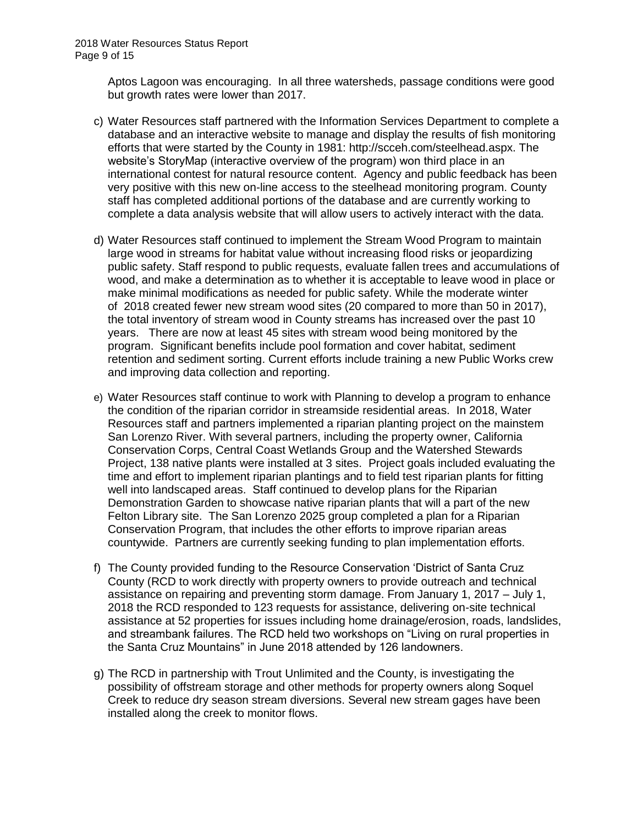Aptos Lagoon was encouraging. In all three watersheds, passage conditions were good but growth rates were lower than 2017.

- c) Water Resources staff partnered with the Information Services Department to complete a database and an interactive website to manage and display the results of fish monitoring efforts that were started by the County in 1981: http://scceh.com/steelhead.aspx. The website's StoryMap (interactive overview of the program) won third place in an international contest for natural resource content. Agency and public feedback has been very positive with this new on-line access to the steelhead monitoring program. County staff has completed additional portions of the database and are currently working to complete a data analysis website that will allow users to actively interact with the data.
- d) Water Resources staff continued to implement the Stream Wood Program to maintain large wood in streams for habitat value without increasing flood risks or jeopardizing public safety. Staff respond to public requests, evaluate fallen trees and accumulations of wood, and make a determination as to whether it is acceptable to leave wood in place or make minimal modifications as needed for public safety. While the moderate winter of 2018 created fewer new stream wood sites (20 compared to more than 50 in 2017), the total inventory of stream wood in County streams has increased over the past 10 years. There are now at least 45 sites with stream wood being monitored by the program. Significant benefits include pool formation and cover habitat, sediment retention and sediment sorting. Current efforts include training a new Public Works crew and improving data collection and reporting.
- e) Water Resources staff continue to work with Planning to develop a program to enhance the condition of the riparian corridor in streamside residential areas. In 2018, Water Resources staff and partners implemented a riparian planting project on the mainstem San Lorenzo River. With several partners, including the property owner, California Conservation Corps, Central Coast Wetlands Group and the Watershed Stewards Project, 138 native plants were installed at 3 sites. Project goals included evaluating the time and effort to implement riparian plantings and to field test riparian plants for fitting well into landscaped areas. Staff continued to develop plans for the Riparian Demonstration Garden to showcase native riparian plants that will a part of the new Felton Library site. The San Lorenzo 2025 group completed a plan for a Riparian Conservation Program, that includes the other efforts to improve riparian areas countywide. Partners are currently seeking funding to plan implementation efforts.
- f) The County provided funding to the Resource Conservation 'District of Santa Cruz County (RCD to work directly with property owners to provide outreach and technical assistance on repairing and preventing storm damage. From January 1, 2017 – July 1, 2018 the RCD responded to 123 requests for assistance, delivering on-site technical assistance at 52 properties for issues including home drainage/erosion, roads, landslides, and streambank failures. The RCD held two workshops on "Living on rural properties in the Santa Cruz Mountains" in June 2018 attended by 126 landowners.
- g) The RCD in partnership with Trout Unlimited and the County, is investigating the possibility of offstream storage and other methods for property owners along Soquel Creek to reduce dry season stream diversions. Several new stream gages have been installed along the creek to monitor flows.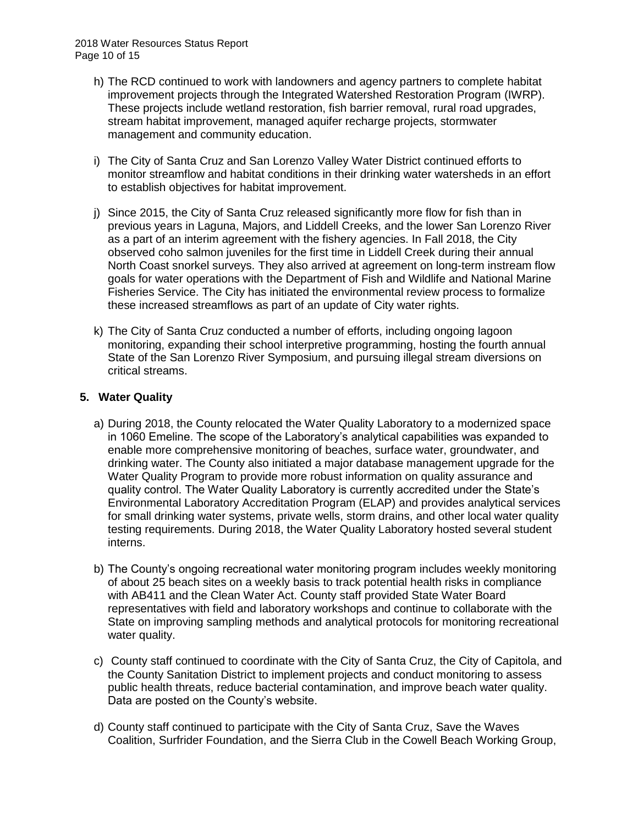- h) The RCD continued to work with landowners and agency partners to complete habitat improvement projects through the Integrated Watershed Restoration Program (IWRP). These projects include wetland restoration, fish barrier removal, rural road upgrades, stream habitat improvement, managed aquifer recharge projects, stormwater management and community education.
- i) The City of Santa Cruz and San Lorenzo Valley Water District continued efforts to monitor streamflow and habitat conditions in their drinking water watersheds in an effort to establish objectives for habitat improvement.
- j) Since 2015, the City of Santa Cruz released significantly more flow for fish than in previous years in Laguna, Majors, and Liddell Creeks, and the lower San Lorenzo River as a part of an interim agreement with the fishery agencies. In Fall 2018, the City observed coho salmon juveniles for the first time in Liddell Creek during their annual North Coast snorkel surveys. They also arrived at agreement on long-term instream flow goals for water operations with the Department of Fish and Wildlife and National Marine Fisheries Service. The City has initiated the environmental review process to formalize these increased streamflows as part of an update of City water rights.
- k) The City of Santa Cruz conducted a number of efforts, including ongoing lagoon monitoring, expanding their school interpretive programming, hosting the fourth annual State of the San Lorenzo River Symposium, and pursuing illegal stream diversions on critical streams.

## **5. Water Quality**

- a) During 2018, the County relocated the Water Quality Laboratory to a modernized space in 1060 Emeline. The scope of the Laboratory's analytical capabilities was expanded to enable more comprehensive monitoring of beaches, surface water, groundwater, and drinking water. The County also initiated a major database management upgrade for the Water Quality Program to provide more robust information on quality assurance and quality control. The Water Quality Laboratory is currently accredited under the State's Environmental Laboratory Accreditation Program (ELAP) and provides analytical services for small drinking water systems, private wells, storm drains, and other local water quality testing requirements. During 2018, the Water Quality Laboratory hosted several student interns.
- b) The County's ongoing recreational water monitoring program includes weekly monitoring of about 25 beach sites on a weekly basis to track potential health risks in compliance with AB411 and the Clean Water Act. County staff provided State Water Board representatives with field and laboratory workshops and continue to collaborate with the State on improving sampling methods and analytical protocols for monitoring recreational water quality.
- c) County staff continued to coordinate with the City of Santa Cruz, the City of Capitola, and the County Sanitation District to implement projects and conduct monitoring to assess public health threats, reduce bacterial contamination, and improve beach water quality. Data are posted on the County's website.
- d) County staff continued to participate with the City of Santa Cruz, Save the Waves Coalition, Surfrider Foundation, and the Sierra Club in the Cowell Beach Working Group,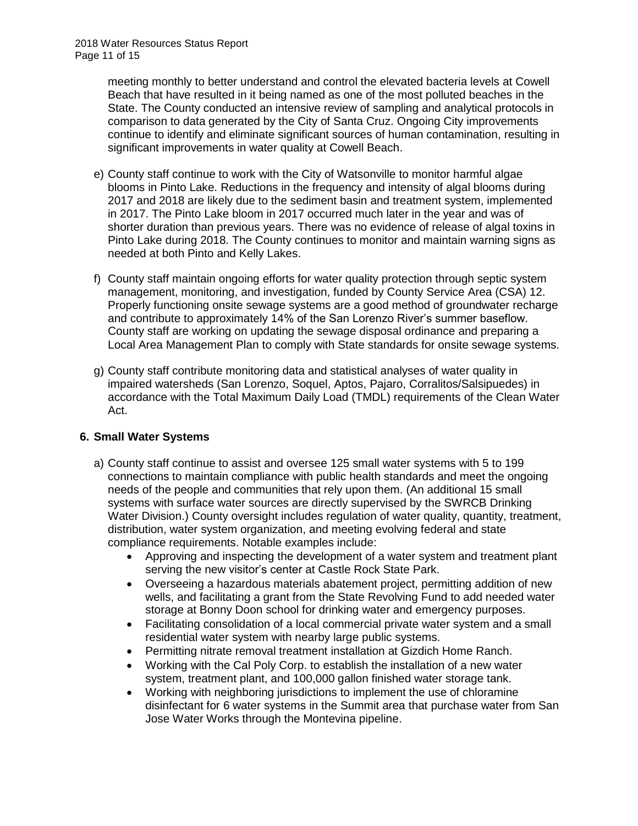meeting monthly to better understand and control the elevated bacteria levels at Cowell Beach that have resulted in it being named as one of the most polluted beaches in the State. The County conducted an intensive review of sampling and analytical protocols in comparison to data generated by the City of Santa Cruz. Ongoing City improvements continue to identify and eliminate significant sources of human contamination, resulting in significant improvements in water quality at Cowell Beach.

- e) County staff continue to work with the City of Watsonville to monitor harmful algae blooms in Pinto Lake. Reductions in the frequency and intensity of algal blooms during 2017 and 2018 are likely due to the sediment basin and treatment system, implemented in 2017. The Pinto Lake bloom in 2017 occurred much later in the year and was of shorter duration than previous years. There was no evidence of release of algal toxins in Pinto Lake during 2018. The County continues to monitor and maintain warning signs as needed at both Pinto and Kelly Lakes.
- f) County staff maintain ongoing efforts for water quality protection through septic system management, monitoring, and investigation, funded by County Service Area (CSA) 12. Properly functioning onsite sewage systems are a good method of groundwater recharge and contribute to approximately 14% of the San Lorenzo River's summer baseflow. County staff are working on updating the sewage disposal ordinance and preparing a Local Area Management Plan to comply with State standards for onsite sewage systems.
- g) County staff contribute monitoring data and statistical analyses of water quality in impaired watersheds (San Lorenzo, Soquel, Aptos, Pajaro, Corralitos/Salsipuedes) in accordance with the Total Maximum Daily Load (TMDL) requirements of the Clean Water Act.

# **6. Small Water Systems**

- a) County staff continue to assist and oversee 125 small water systems with 5 to 199 connections to maintain compliance with public health standards and meet the ongoing needs of the people and communities that rely upon them. (An additional 15 small systems with surface water sources are directly supervised by the SWRCB Drinking Water Division.) County oversight includes regulation of water quality, quantity, treatment, distribution, water system organization, and meeting evolving federal and state compliance requirements. Notable examples include:
	- Approving and inspecting the development of a water system and treatment plant serving the new visitor's center at Castle Rock State Park.
	- Overseeing a hazardous materials abatement project, permitting addition of new wells, and facilitating a grant from the State Revolving Fund to add needed water storage at Bonny Doon school for drinking water and emergency purposes.
	- Facilitating consolidation of a local commercial private water system and a small residential water system with nearby large public systems.
	- Permitting nitrate removal treatment installation at Gizdich Home Ranch.
	- Working with the Cal Poly Corp. to establish the installation of a new water system, treatment plant, and 100,000 gallon finished water storage tank.
	- Working with neighboring jurisdictions to implement the use of chloramine disinfectant for 6 water systems in the Summit area that purchase water from San Jose Water Works through the Montevina pipeline.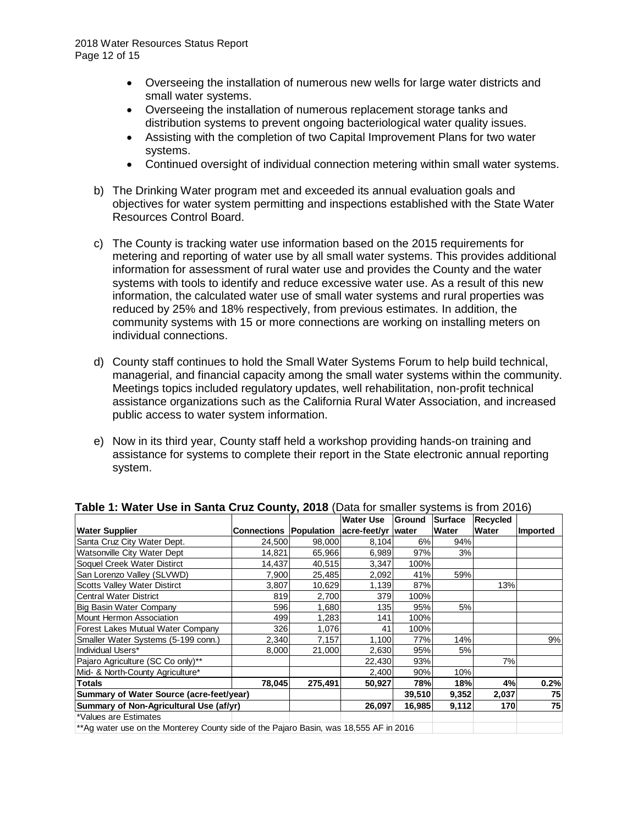- Overseeing the installation of numerous new wells for large water districts and small water systems.
- Overseeing the installation of numerous replacement storage tanks and distribution systems to prevent ongoing bacteriological water quality issues.
- Assisting with the completion of two Capital Improvement Plans for two water systems.
- Continued oversight of individual connection metering within small water systems.
- b) The Drinking Water program met and exceeded its annual evaluation goals and objectives for water system permitting and inspections established with the State Water Resources Control Board.
- c) The County is tracking water use information based on the 2015 requirements for metering and reporting of water use by all small water systems. This provides additional information for assessment of rural water use and provides the County and the water systems with tools to identify and reduce excessive water use. As a result of this new information, the calculated water use of small water systems and rural properties was reduced by 25% and 18% respectively, from previous estimates. In addition, the community systems with 15 or more connections are working on installing meters on individual connections.
- d) County staff continues to hold the Small Water Systems Forum to help build technical, managerial, and financial capacity among the small water systems within the community. Meetings topics included regulatory updates, well rehabilitation, non-profit technical assistance organizations such as the California Rural Water Association, and increased public access to water system information.
- e) Now in its third year, County staff held a workshop providing hands-on training and assistance for systems to complete their report in the State electronic annual reporting system.

| $P(1, 1)$ and $P(2, 1)$ and $P(3, 1)$ and $P(4, 1)$ and $P(5, 1)$ and $P(6, 1)$ and $P(7, 1)$ |                                           |         |                  |        |              |                 |          |
|-----------------------------------------------------------------------------------------------|-------------------------------------------|---------|------------------|--------|--------------|-----------------|----------|
|                                                                                               |                                           |         | <b>Water Use</b> | Ground | Surface      | <b>Recycled</b> |          |
| <b>Water Supplier</b>                                                                         | Connections Population acre-feet/yr water |         |                  |        | <b>Water</b> | Water           | Imported |
| Santa Cruz City Water Dept.                                                                   | 24,500                                    | 98,000  | 8,104            | 6%     | 94%          |                 |          |
| Watsonville City Water Dept                                                                   | 14,821                                    | 65,966  | 6,989            | 97%    | 3%           |                 |          |
| Soquel Creek Water Distirct                                                                   | 14,437                                    | 40,515  | 3,347            | 100%   |              |                 |          |
| San Lorenzo Valley (SLVWD)                                                                    | 7,900                                     | 25,485  | 2,092            | 41%    | 59%          |                 |          |
| <b>Scotts Valley Water Distirct</b>                                                           | 3,807                                     | 10,629  | 1,139            | 87%    |              | 13%             |          |
| <b>Central Water District</b>                                                                 | 819                                       | 2,700   | 379              | 100%   |              |                 |          |
| Big Basin Water Company                                                                       | 596                                       | 1,680   | 135              | 95%    | 5%           |                 |          |
| Mount Hermon Association                                                                      | 499                                       | 1,283   | 141              | 100%   |              |                 |          |
| Forest Lakes Mutual Water Company                                                             | 326                                       | 1,076   | 41               | 100%   |              |                 |          |
| Smaller Water Systems (5-199 conn.)                                                           | 2,340                                     | 7,157   | 1,100            | 77%    | 14%          |                 | 9%       |
| Individual Users*                                                                             | 8,000                                     | 21,000  | 2,630            | 95%    | 5%           |                 |          |
| Pajaro Agriculture (SC Co only)**                                                             |                                           |         | 22,430           | 93%    |              | 7%              |          |
| Mid- & North-County Agriculture*                                                              |                                           |         | 2,400            | 90%    | 10%          |                 |          |
| <b>Totals</b>                                                                                 | 78,045                                    | 275,491 | 50,927           | 78%    | 18%          | 4%              | 0.2%     |
| Summary of Water Source (acre-feet/year)                                                      |                                           |         |                  | 39,510 | 9,352        | 2,037           | 75       |
| Summary of Non-Agricultural Use (af/yr)                                                       |                                           |         | 26.097           | 16,985 | 9,112        | 170             | 75       |
| *Values are Estimates                                                                         |                                           |         |                  |        |              |                 |          |
| ** Ag water use on the Monterey County side of the Pajaro Basin, was 18,555 AF in 2016        |                                           |         |                  |        |              |                 |          |

#### **Table 1: Water Use in Santa Cruz County, 2018** (Data for smaller systems is from 2016)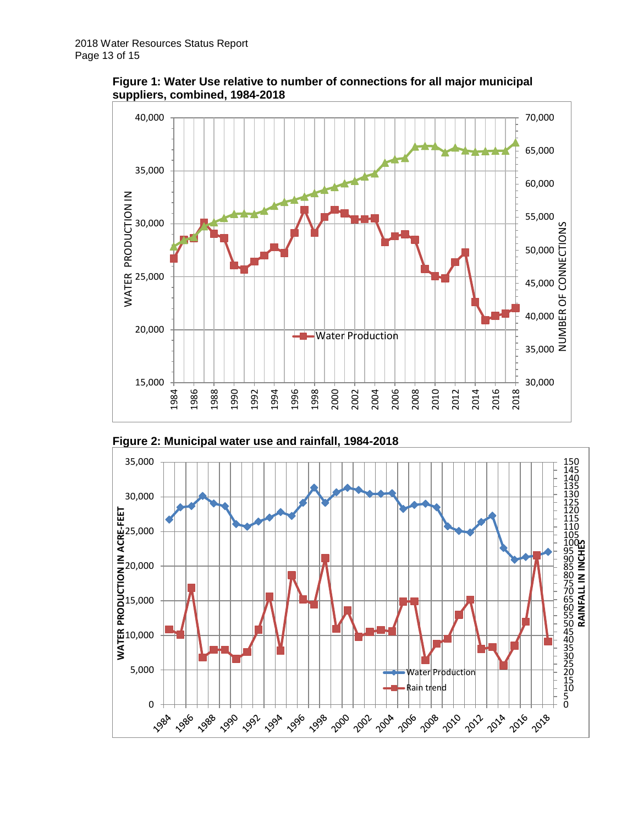





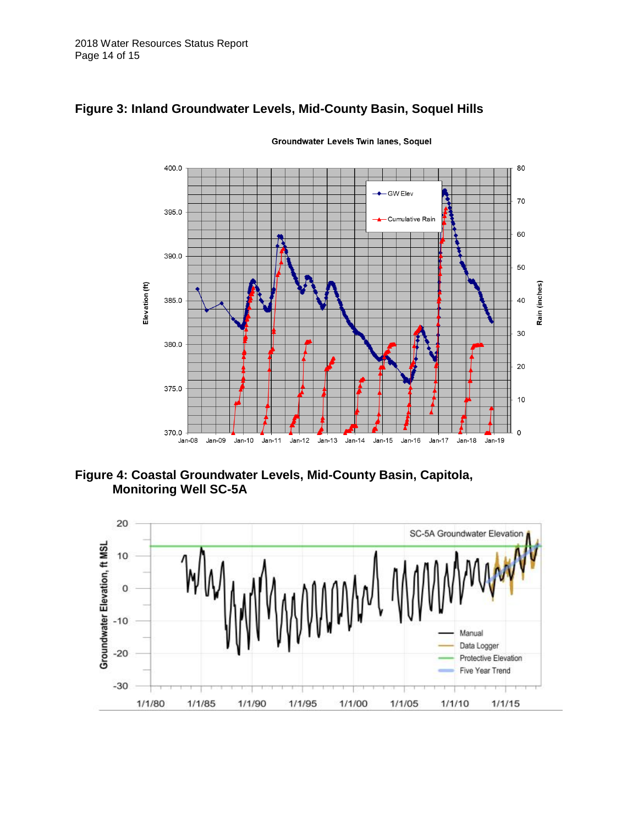

# **Figure 3: Inland Groundwater Levels, Mid-County Basin, Soquel Hills**

Groundwater Levels Twin lanes, Soquel

**Figure 4: Coastal Groundwater Levels, Mid-County Basin, Capitola, Monitoring Well SC-5A**